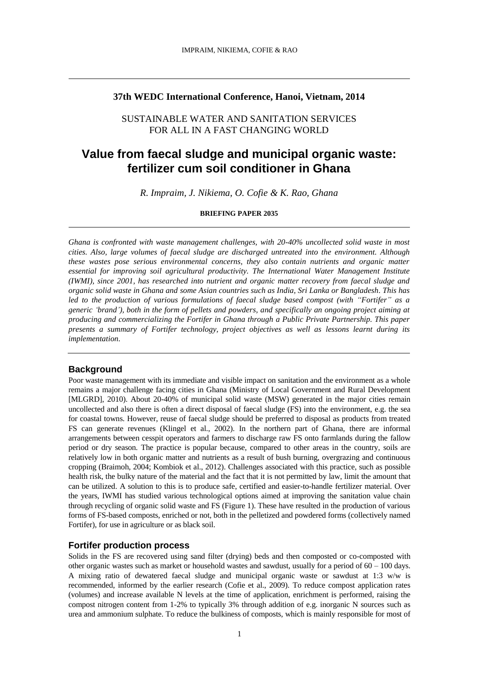### **37th WEDC International Conference, Hanoi, Vietnam, 2014**

# SUSTAINABLE WATER AND SANITATION SERVICES FOR ALL IN A FAST CHANGING WORLD

# **Value from faecal sludge and municipal organic waste: fertilizer cum soil conditioner in Ghana**

*R. Impraim, J. Nikiema, O. Cofie & K. Rao, Ghana*

#### **BRIEFING PAPER 2035**

*Ghana is confronted with waste management challenges, with 20-40% uncollected solid waste in most cities. Also, large volumes of faecal sludge are discharged untreated into the environment. Although these wastes pose serious environmental concerns, they also contain nutrients and organic matter essential for improving soil agricultural productivity. The International Water Management Institute (IWMI), since 2001, has researched into nutrient and organic matter recovery from faecal sludge and organic solid waste in Ghana and some Asian countries such as India, Sri Lanka or Bangladesh. This has led to the production of various formulations of faecal sludge based compost (with "Fortifer" as a generic 'brand'), both in the form of pellets and powders, and specifically an ongoing project aiming at producing and commercializing the Fortifer in Ghana through a Public Private Partnership. This paper presents a summary of Fortifer technology, project objectives as well as lessons learnt during its implementation.* 

#### **Background**

Poor waste management with its immediate and visible impact on sanitation and the environment as a whole remains a major challenge facing cities in Ghana (Ministry of Local Government and Rural Development [MLGRD], 2010). About 20-40% of municipal solid waste (MSW) generated in the major cities remain uncollected and also there is often a direct disposal of faecal sludge (FS) into the environment, e.g. the sea for coastal towns. However, reuse of faecal sludge should be preferred to disposal as products from treated FS can generate revenues (Klingel et al., 2002). In the northern part of Ghana, there are informal arrangements between cesspit operators and farmers to discharge raw FS onto farmlands during the fallow period or dry season. The practice is popular because, compared to other areas in the country, soils are relatively low in both organic matter and nutrients as a result of bush burning, overgrazing and continuous cropping (Braimoh, 2004; Kombiok et al., 2012). Challenges associated with this practice, such as possible health risk, the bulky nature of the material and the fact that it is not permitted by law, limit the amount that can be utilized. A solution to this is to produce safe, certified and easier-to-handle fertilizer material. Over the years, IWMI has studied various technological options aimed at improving the sanitation value chain through recycling of organic solid waste and FS (Figure 1). These have resulted in the production of various forms of FS-based composts, enriched or not, both in the pelletized and powdered forms (collectively named Fortifer), for use in agriculture or as black soil.

#### **Fortifer production process**

Solids in the FS are recovered using sand filter (drying) beds and then composted or co-composted with other organic wastes such as market or household wastes and sawdust, usually for a period of 60 – 100 days. A mixing ratio of dewatered faecal sludge and municipal organic waste or sawdust at 1:3 w/w is recommended, informed by the earlier research (Cofie et al., 2009). To reduce compost application rates (volumes) and increase available N levels at the time of application, enrichment is performed, raising the compost nitrogen content from 1-2% to typically 3% through addition of e.g. inorganic N sources such as urea and ammonium sulphate. To reduce the bulkiness of composts, which is mainly responsible for most of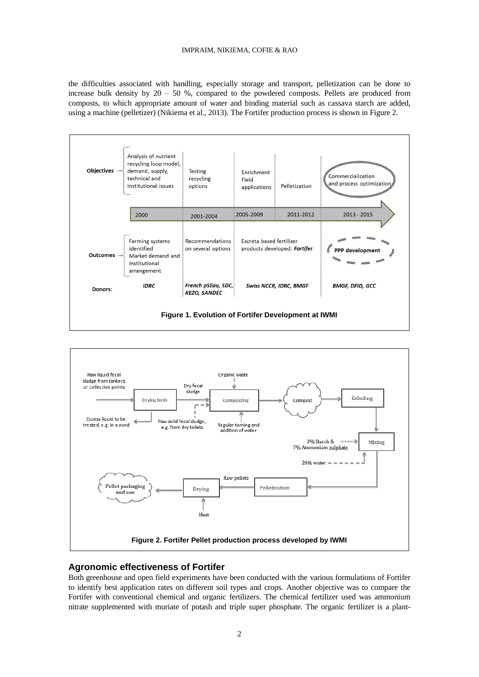#### IMPRAIM, NIKIEMA, COFIE & RAO

the difficulties associated with handling, especially storage and transport, pelletization can be done to increase bulk density by  $20 - 50$  %, compared to the powdered composts. Pellets are produced from composts, to which appropriate amount of water and binding material such as cassava starch are added, using a machine (pelletizer) (Nikiema et al., 2013). The Fortifer production process is shown in Figure 2.





# **Agronomic effectiveness of Fortifer**

Both greenhouse and open field experiments have been conducted with the various formulations of Fortifer to identify best application rates on different soil types and crops. Another objective was to compare the Fortifer with conventional chemical and organic fertilizers. The chemical fertilizer used was ammonium nitrate supplemented with muriate of potash and triple super phosphate. The organic fertilizer is a plant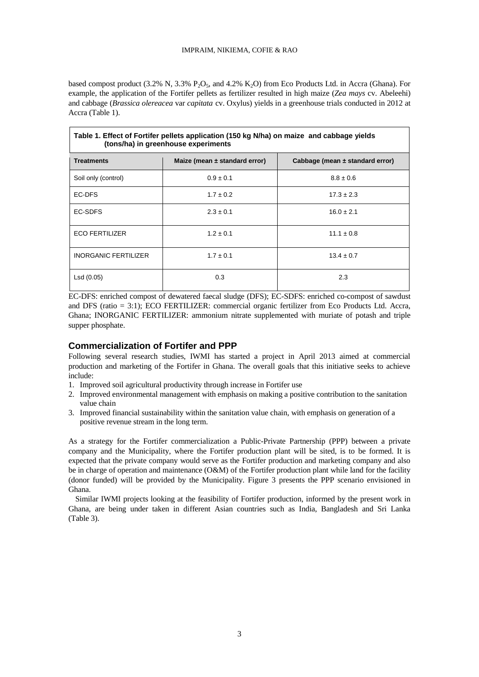based compost product  $(3.2\% \text{ N}, 3.3\% \text{ P}_2\text{O}_5)$ , and  $4.2\%$  K<sub>2</sub>O) from Eco Products Ltd. in Accra (Ghana). For example, the application of the Fortifer pellets as fertilizer resulted in high maize (*Zea mays* cv. Abeleehi) and cabbage (*Brassica olereacea* var *capitata* cv. Oxylus) yields in a greenhouse trials conducted in 2012 at Accra (Table 1).

| Table 1. Effect of Fortifer pellets application (150 kg N/ha) on maize and cabbage yields<br>(tons/ha) in greenhouse experiments |                                   |                                     |  |  |  |
|----------------------------------------------------------------------------------------------------------------------------------|-----------------------------------|-------------------------------------|--|--|--|
| <b>Treatments</b>                                                                                                                | Maize (mean $\pm$ standard error) | Cabbage (mean $\pm$ standard error) |  |  |  |
| Soil only (control)                                                                                                              | $0.9 \pm 0.1$                     | $8.8 \pm 0.6$                       |  |  |  |
| EC-DFS                                                                                                                           | $1.7 \pm 0.2$                     | $17.3 \pm 2.3$                      |  |  |  |
| EC-SDFS                                                                                                                          | $2.3 \pm 0.1$                     | $16.0 \pm 2.1$                      |  |  |  |
| <b>ECO FERTILIZER</b>                                                                                                            | $1.2 \pm 0.1$                     | $11.1 \pm 0.8$                      |  |  |  |
| <b>INORGANIC FERTILIZER</b>                                                                                                      | $1.7 \pm 0.1$                     | $13.4 \pm 0.7$                      |  |  |  |
| Lsd (0.05)                                                                                                                       | 0.3                               | 2.3                                 |  |  |  |

EC-DFS: enriched compost of dewatered faecal sludge (DFS); EC-SDFS: enriched co-compost of sawdust and DFS (ratio = 3:1); ECO FERTILIZER: commercial organic fertilizer from Eco Products Ltd. Accra, Ghana; INORGANIC FERTILIZER: ammonium nitrate supplemented with muriate of potash and triple supper phosphate.

# **Commercialization of Fortifer and PPP**

Following several research studies, IWMI has started a project in April 2013 aimed at commercial production and marketing of the Fortifer in Ghana. The overall goals that this initiative seeks to achieve include:

- 1. Improved soil agricultural productivity through increase in Fortifer use
- 2. Improved environmental management with emphasis on making a positive contribution to the sanitation value chain
- 3. Improved financial sustainability within the sanitation value chain, with emphasis on generation of a positive revenue stream in the long term.

As a strategy for the Fortifer commercialization a Public-Private Partnership (PPP) between a private company and the Municipality, where the Fortifer production plant will be sited, is to be formed. It is expected that the private company would serve as the Fortifer production and marketing company and also be in charge of operation and maintenance (O&M) of the Fortifer production plant while land for the facility (donor funded) will be provided by the Municipality. Figure 3 presents the PPP scenario envisioned in Ghana.

Similar IWMI projects looking at the feasibility of Fortifer production, informed by the present work in Ghana, are being under taken in different Asian countries such as India, Bangladesh and Sri Lanka (Table 3).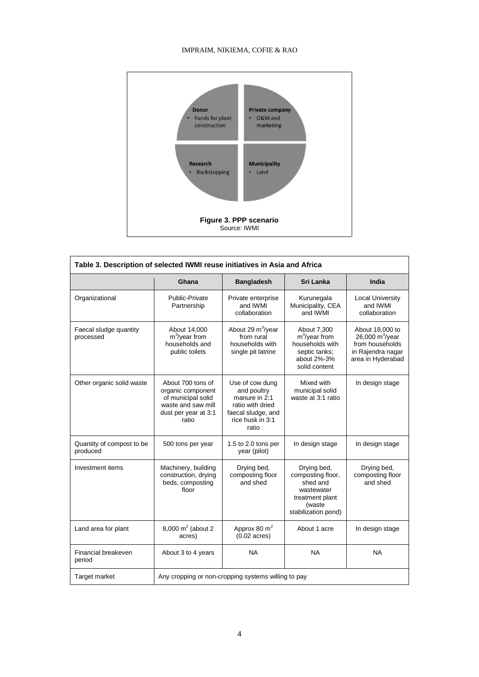### IMPRAIM, NIKIEMA, COFIE & RAO



| Table 3. Description of selected IWMI reuse initiatives in Asia and Africa |                                                                                                                     |                                                                                                                        |                                                                                                                |                                                                                                             |  |  |
|----------------------------------------------------------------------------|---------------------------------------------------------------------------------------------------------------------|------------------------------------------------------------------------------------------------------------------------|----------------------------------------------------------------------------------------------------------------|-------------------------------------------------------------------------------------------------------------|--|--|
|                                                                            | Ghana                                                                                                               | <b>Bangladesh</b>                                                                                                      | Sri Lanka                                                                                                      | India                                                                                                       |  |  |
| Organizational                                                             | Public-Private<br>Partnership                                                                                       | Private enterprise<br>and IWMI<br>collaboration                                                                        | Kurunegala<br>Municipality, CEA<br>and IWMI                                                                    | <b>Local University</b><br>and IWMI<br>collaboration                                                        |  |  |
| Faecal sludge quantity<br>processed                                        | About 14,000<br>$m^3$ /year from<br>households and<br>public toilets                                                | About 29 m <sup>3</sup> /year<br>from rural<br>households with<br>single pit latrine                                   | About 7,300<br>$m^3$ /year from<br>households with<br>septic tanks;<br>about 2%-3%<br>solid content            | About 18,000 to<br>26,000 m <sup>3</sup> /year<br>from households<br>in Rajendra nagar<br>area in Hyderabad |  |  |
| Other organic solid waste                                                  | About 700 tons of<br>organic component<br>of municipal solid<br>waste and saw mill<br>dust per year at 3:1<br>ratio | Use of cow dung<br>and poultry<br>manure in 2:1<br>ratio with dried<br>faecal sludge, and<br>rice husk in 3:1<br>ratio | Mixed with<br>municipal solid<br>waste at 3:1 ratio                                                            | In design stage                                                                                             |  |  |
| Quantity of compost to be<br>produced                                      | 500 tons per year                                                                                                   | 1.5 to 2.0 tons per<br>year (pilot)                                                                                    | In design stage                                                                                                | In design stage                                                                                             |  |  |
| Investment items                                                           | Machinery, building<br>construction, drying<br>beds, composting<br>floor                                            | Drying bed,<br>composting floor<br>and shed                                                                            | Drying bed,<br>composting floor,<br>shed and<br>wastewater<br>treatment plant<br>(waste<br>stabilization pond) | Drying bed,<br>composting floor<br>and shed                                                                 |  |  |
| Land area for plant                                                        | 8,000 $m^2$ (about 2<br>acres)                                                                                      | Approx 80 m <sup>2</sup><br>$(0.02 \text{ acres})$                                                                     | About 1 acre                                                                                                   | In design stage                                                                                             |  |  |
| Financial breakeven<br>period                                              | About 3 to 4 years                                                                                                  | <b>NA</b>                                                                                                              | <b>NA</b>                                                                                                      | <b>NA</b>                                                                                                   |  |  |
| Target market                                                              | Any cropping or non-cropping systems willing to pay                                                                 |                                                                                                                        |                                                                                                                |                                                                                                             |  |  |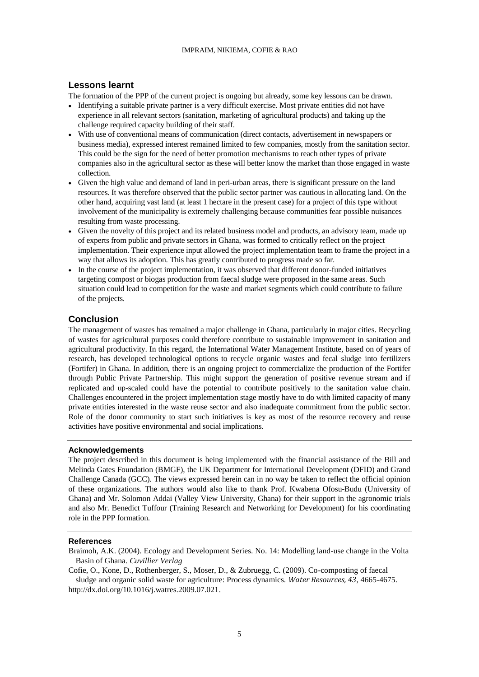### **Lessons learnt**

The formation of the PPP of the current project is ongoing but already, some key lessons can be drawn.

- Identifying a suitable private partner is a very difficult exercise. Most private entities did not have experience in all relevant sectors (sanitation, marketing of agricultural products) and taking up the challenge required capacity building of their staff.
- With use of conventional means of communication (direct contacts, advertisement in newspapers or business media), expressed interest remained limited to few companies, mostly from the sanitation sector. This could be the sign for the need of better promotion mechanisms to reach other types of private companies also in the agricultural sector as these will better know the market than those engaged in waste collection.
- Given the high value and demand of land in peri-urban areas, there is significant pressure on the land resources. It was therefore observed that the public sector partner was cautious in allocating land. On the other hand, acquiring vast land (at least 1 hectare in the present case) for a project of this type without involvement of the municipality is extremely challenging because communities fear possible nuisances resulting from waste processing.
- Given the novelty of this project and its related business model and products, an advisory team, made up of experts from public and private sectors in Ghana, was formed to critically reflect on the project implementation. Their experience input allowed the project implementation team to frame the project in a way that allows its adoption. This has greatly contributed to progress made so far.
- In the course of the project implementation, it was observed that different donor-funded initiatives targeting compost or biogas production from faecal sludge were proposed in the same areas. Such situation could lead to competition for the waste and market segments which could contribute to failure of the projects.

# **Conclusion**

The management of wastes has remained a major challenge in Ghana, particularly in major cities. Recycling of wastes for agricultural purposes could therefore contribute to sustainable improvement in sanitation and agricultural productivity. In this regard, the International Water Management Institute, based on of years of research, has developed technological options to recycle organic wastes and fecal sludge into fertilizers (Fortifer) in Ghana. In addition, there is an ongoing project to commercialize the production of the Fortifer through Public Private Partnership. This might support the generation of positive revenue stream and if replicated and up-scaled could have the potential to contribute positively to the sanitation value chain. Challenges encountered in the project implementation stage mostly have to do with limited capacity of many private entities interested in the waste reuse sector and also inadequate commitment from the public sector. Role of the donor community to start such initiatives is key as most of the resource recovery and reuse activities have positive environmental and social implications.

### **Acknowledgements**

The project described in this document is being implemented with the financial assistance of the Bill and Melinda Gates Foundation (BMGF), the UK Department for International Development (DFID) and Grand Challenge Canada (GCC). The views expressed herein can in no way be taken to reflect the official opinion of these organizations. The authors would also like to thank Prof. Kwabena Ofosu-Budu (University of Ghana) and Mr. Solomon Addai (Valley View University, Ghana) for their support in the agronomic trials and also Mr. Benedict Tuffour (Training Research and Networking for Development) for his coordinating role in the PPP formation.

### **References**

Cofie, O., Kone, D., Rothenberger, S., Moser, D., & Zubruegg, C. (2009). Co-composting of faecal sludge and organic solid waste for agriculture: Process dynamics. *Water Resources, 43*, 4665-4675. [http://dx.doi.org/10.1016/j.watres.2009.07.021.](http://dx.doi.org/10.1016/j.watres.2009.07.021)

Braimoh, A.K. (2004). Ecology and Development Series. No. 14: Modelling land-use change in the Volta Basin of Ghana. *Cuvillier Verlag*